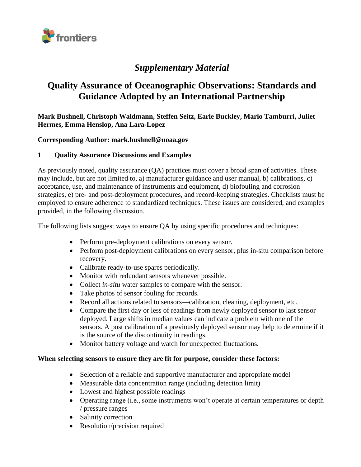

# *Supplementary Material*

# **Quality Assurance of Oceanographic Observations: Standards and Guidance Adopted by an International Partnership**

**Mark Bushnell, Christoph Waldmann, Steffen Seitz, Earle Buckley, Mario Tamburri, Juliet Hermes, Emma Henslop, Ana Lara-Lopez**

#### **Corresponding Author: mark.bushnell@noaa.gov**

#### **1 Quality Assurance Discussions and Examples**

As previously noted, quality assurance (QA) practices must cover a broad span of activities. These may include, but are not limited to, a) manufacturer guidance and user manual, b) calibrations, c) acceptance, use, and maintenance of instruments and equipment, d) biofouling and corrosion strategies, e) pre- and post-deployment procedures, and record-keeping strategies. Checklists must be employed to ensure adherence to standardized techniques. These issues are considered, and examples provided, in the following discussion.

The following lists suggest ways to ensure QA by using specific procedures and techniques:

- Perform pre-deployment calibrations on every sensor.
- Perform post-deployment calibrations on every sensor, plus in-situ comparison before recovery.
- Calibrate ready-to-use spares periodically.
- Monitor with redundant sensors whenever possible.
- Collect *in-situ* water samples to compare with the sensor.
- Take photos of sensor fouling for records.
- Record all actions related to sensors—calibration, cleaning, deployment, etc.
- Compare the first day or less of readings from newly deployed sensor to last sensor deployed. Large shifts in median values can indicate a problem with one of the sensors. A post calibration of a previously deployed sensor may help to determine if it is the source of the discontinuity in readings.
- Monitor battery voltage and watch for unexpected fluctuations.

#### **When selecting sensors to ensure they are fit for purpose, consider these factors:**

- Selection of a reliable and supportive manufacturer and appropriate model
- Measurable data concentration range (including detection limit)
- Lowest and highest possible readings
- Operating range (i.e., some instruments won't operate at certain temperatures or depth / pressure ranges
- Salinity correction
- Resolution/precision required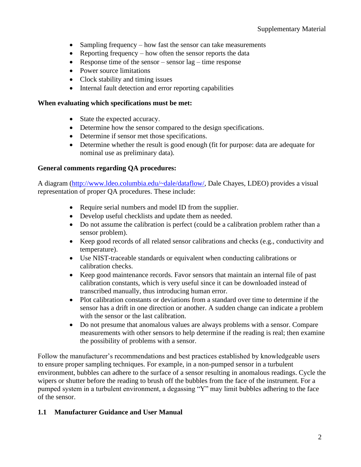- Sampling frequency how fast the sensor can take measurements
- Reporting frequency how often the sensor reports the data
- Response time of the sensor sensor  $lag$  time response
- Power source limitations
- Clock stability and timing issues
- Internal fault detection and error reporting capabilities

#### **When evaluating which specifications must be met:**

- State the expected accuracy.
- Determine how the sensor compared to the design specifications.
- Determine if sensor met those specifications.
- Determine whether the result is good enough (fit for purpose: data are adequate for nominal use as preliminary data).

#### **General comments regarding QA procedures:**

A diagram [\(http://www.ldeo.columbia.edu/~dale/dataflow/,](http://www.ldeo.columbia.edu/~dale/dataflow/) Dale Chayes, LDEO) provides a visual representation of proper QA procedures. These include:

- Require serial numbers and model ID from the supplier.
- Develop useful checklists and update them as needed.
- Do not assume the calibration is perfect (could be a calibration problem rather than a sensor problem).
- Keep good records of all related sensor calibrations and checks (e.g., conductivity and temperature).
- Use NIST-traceable standards or equivalent when conducting calibrations or calibration checks.
- Keep good maintenance records. Favor sensors that maintain an internal file of past calibration constants, which is very useful since it can be downloaded instead of transcribed manually, thus introducing human error.
- Plot calibration constants or deviations from a standard over time to determine if the sensor has a drift in one direction or another. A sudden change can indicate a problem with the sensor or the last calibration.
- Do not presume that anomalous values are always problems with a sensor. Compare measurements with other sensors to help determine if the reading is real; then examine the possibility of problems with a sensor.

Follow the manufacturer's recommendations and best practices established by knowledgeable users to ensure proper sampling techniques. For example, in a non-pumped sensor in a turbulent environment, bubbles can adhere to the surface of a sensor resulting in anomalous readings. Cycle the wipers or shutter before the reading to brush off the bubbles from the face of the instrument. For a pumped system in a turbulent environment, a degassing "Y" may limit bubbles adhering to the face of the sensor.

### **1.1 Manufacturer Guidance and User Manual**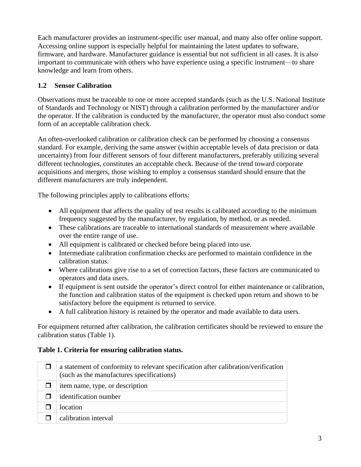Each manufacturer provides an instrument-specific user manual, and many also offer online support. Accessing online support is especially helpful for maintaining the latest updates to software, firmware, and hardware. Manufacturer guidance is essential but not sufficient in all cases. It is also important to communicate with others who have experience using a specific instrument—to share knowledge and learn from others.

## **1.2 Sensor Calibration**

Observations must be traceable to one or more accepted standards (such as the U.S. National Institute of Standards and Technology or NIST) through a calibration performed by the manufacturer and/or the operator. If the calibration is conducted by the manufacturer, the operator must also conduct some form of an acceptable calibration check.

An often-overlooked calibration or calibration check can be performed by choosing a consensus standard. For example, deriving the same answer (within acceptable levels of data precision or data uncertainty) from four different sensors of four different manufacturers, preferably utilizing several different technologies, constitutes an acceptable check. Because of the trend toward corporate acquisitions and mergers, those wishing to employ a consensus standard should ensure that the different manufacturers are truly independent.

The following principles apply to calibrations efforts:

- All equipment that affects the quality of test results is calibrated according to the minimum frequency suggested by the manufacturer, by regulation, by method, or as needed.
- These calibrations are traceable to international standards of measurement where available over the entire range of use.
- All equipment is calibrated or checked before being placed into use.
- Intermediate calibration confirmation checks are performed to maintain confidence in the calibration status.
- Where calibrations give rise to a set of correction factors, these factors are communicated to operators and data users.
- If equipment is sent outside the operator's direct control for either maintenance or calibration, the function and calibration status of the equipment is checked upon return and shown to be satisfactory before the equipment is returned to service.
- A full calibration history is retained by the operator and made available to data users.

For equipment returned after calibration, the calibration certificates should be reviewed to ensure the calibration status (Table 1).

### **Table 1. Criteria for ensuring calibration status.**

| a statement of conformity to relevant specification after calibration/verification<br>(such as the manufactures specifications) |
|---------------------------------------------------------------------------------------------------------------------------------|
| item name, type, or description                                                                                                 |
| identification number                                                                                                           |
| location                                                                                                                        |
| calibration interval                                                                                                            |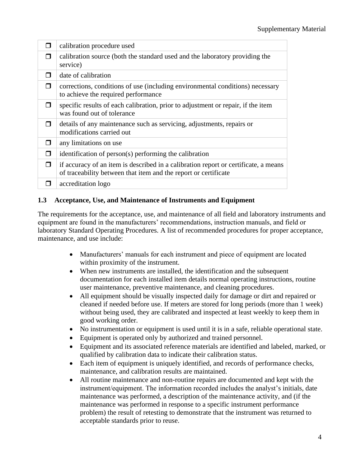| H            | calibration procedure used                                                                                                                             |
|--------------|--------------------------------------------------------------------------------------------------------------------------------------------------------|
|              | calibration source (both the standard used and the laboratory providing the<br>service)                                                                |
|              | date of calibration                                                                                                                                    |
| П            | corrections, conditions of use (including environmental conditions) necessary<br>to achieve the required performance                                   |
|              | specific results of each calibration, prior to adjustment or repair, if the item<br>was found out of tolerance                                         |
| $\mathbf{I}$ | details of any maintenance such as servicing, adjustments, repairs or<br>modifications carried out                                                     |
| H            | any limitations on use                                                                                                                                 |
|              | identification of person(s) performing the calibration                                                                                                 |
| П            | if accuracy of an item is described in a calibration report or certificate, a means<br>of traceability between that item and the report or certificate |
|              | accreditation logo                                                                                                                                     |

# **1.3 Acceptance, Use, and Maintenance of Instruments and Equipment**

The requirements for the acceptance, use, and maintenance of all field and laboratory instruments and equipment are found in the manufacturers' recommendations, instruction manuals, and field or laboratory Standard Operating Procedures. A list of recommended procedures for proper acceptance, maintenance, and use include:

- Manufacturers' manuals for each instrument and piece of equipment are located within proximity of the instrument.
- When new instruments are installed, the identification and the subsequent documentation for each installed item details normal operating instructions, routine user maintenance, preventive maintenance, and cleaning procedures.
- All equipment should be visually inspected daily for damage or dirt and repaired or cleaned if needed before use. If meters are stored for long periods (more than 1 week) without being used, they are calibrated and inspected at least weekly to keep them in good working order.
- No instrumentation or equipment is used until it is in a safe, reliable operational state.
- Equipment is operated only by authorized and trained personnel.
- Equipment and its associated reference materials are identified and labeled, marked, or qualified by calibration data to indicate their calibration status.
- Each item of equipment is uniquely identified, and records of performance checks, maintenance, and calibration results are maintained.
- All routine maintenance and non-routine repairs are documented and kept with the instrument/equipment. The information recorded includes the analyst's initials, date maintenance was performed, a description of the maintenance activity, and (if the maintenance was performed in response to a specific instrument performance problem) the result of retesting to demonstrate that the instrument was returned to acceptable standards prior to reuse.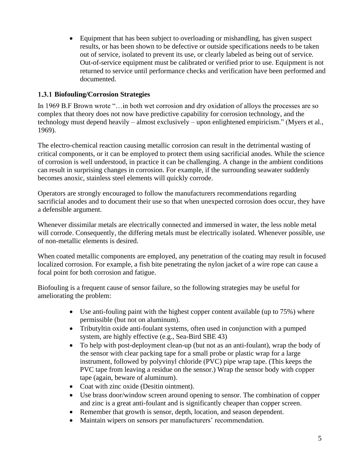• Equipment that has been subject to overloading or mishandling, has given suspect results, or has been shown to be defective or outside specifications needs to be taken out of service, isolated to prevent its use, or clearly labeled as being out of service. Out-of-service equipment must be calibrated or verified prior to use. Equipment is not returned to service until performance checks and verification have been performed and documented.

### **Biofouling/Corrosion Strategies**

In 1969 B.F Brown wrote "…in both wet corrosion and dry oxidation of alloys the processes are so complex that theory does not now have predictive capability for corrosion technology, and the technology must depend heavily – almost exclusively – upon enlightened empiricism." (Myers et al., 1969).

The electro-chemical reaction causing metallic corrosion can result in the detrimental wasting of critical components, or it can be employed to protect them using sacrificial anodes. While the science of corrosion is well understood, in practice it can be challenging. A change in the ambient conditions can result in surprising changes in corrosion. For example, if the surrounding seawater suddenly becomes anoxic, stainless steel elements will quickly corrode.

Operators are strongly encouraged to follow the manufacturers recommendations regarding sacrificial anodes and to document their use so that when unexpected corrosion does occur, they have a defensible argument.

Whenever dissimilar metals are electrically connected and immersed in water, the less noble metal will corrode. Consequently, the differing metals must be electrically isolated. Whenever possible, use of non-metallic elements is desired.

When coated metallic components are employed, any penetration of the coating may result in focused localized corrosion. For example, a fish bite penetrating the nylon jacket of a wire rope can cause a focal point for both corrosion and fatigue.

Biofouling is a frequent cause of sensor failure, so the following strategies may be useful for ameliorating the problem:

- Use anti-fouling paint with the highest copper content available (up to 75%) where permissible (but not on aluminum).
- Tributyltin oxide anti-foulant systems, often used in conjunction with a pumped system, are highly effective (e.g., Sea-Bird SBE 43)
- To help with post-deployment clean-up (but not as an anti-foulant), wrap the body of the sensor with clear packing tape for a small probe or plastic wrap for a large instrument, followed by polyvinyl chloride (PVC) pipe wrap tape. (This keeps the PVC tape from leaving a residue on the sensor.) Wrap the sensor body with copper tape (again, beware of aluminum).
- Coat with zinc oxide (Desitin ointment).
- Use brass door/window screen around opening to sensor. The combination of copper and zinc is a great anti-foulant and is significantly cheaper than copper screen.
- Remember that growth is sensor, depth, location, and season dependent.
- Maintain wipers on sensors per manufacturers' recommendation.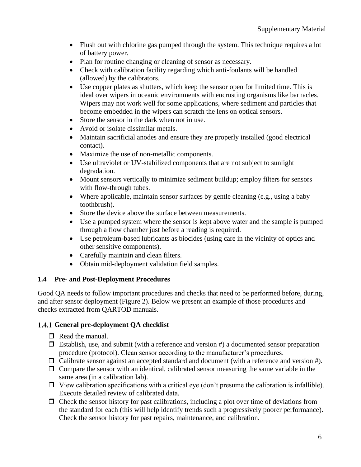- Flush out with chlorine gas pumped through the system. This technique requires a lot of battery power.
- Plan for routine changing or cleaning of sensor as necessary.
- Check with calibration facility regarding which anti-foulants will be handled (allowed) by the calibrators.
- Use copper plates as shutters, which keep the sensor open for limited time. This is ideal over wipers in oceanic environments with encrusting organisms like barnacles. Wipers may not work well for some applications, where sediment and particles that become embedded in the wipers can scratch the lens on optical sensors.
- Store the sensor in the dark when not in use.
- Avoid or isolate dissimilar metals.
- Maintain sacrificial anodes and ensure they are properly installed (good electrical contact).
- Maximize the use of non-metallic components.
- Use ultraviolet or UV-stabilized components that are not subject to sunlight degradation.
- Mount sensors vertically to minimize sediment buildup; employ filters for sensors with flow-through tubes.
- Where applicable, maintain sensor surfaces by gentle cleaning (e.g., using a baby toothbrush).
- Store the device above the surface between measurements.
- Use a pumped system where the sensor is kept above water and the sample is pumped through a flow chamber just before a reading is required.
- Use petroleum-based lubricants as biocides (using care in the vicinity of optics and other sensitive components).
- Carefully maintain and clean filters.
- Obtain mid-deployment validation field samples.

### **1.4 Pre- and Post-Deployment Procedures**

Good QA needs to follow important procedures and checks that need to be performed before, during, and after sensor deployment (Figure 2). Below we present an example of those procedures and checks extracted from QARTOD manuals.

### **General pre-deployment QA checklist**

- $\Box$  Read the manual.
- $\Box$  Establish, use, and submit (with a reference and version #) a documented sensor preparation procedure (protocol). Clean sensor according to the manufacturer's procedures.
- $\Box$  Calibrate sensor against an accepted standard and document (with a reference and version #).
- $\Box$  Compare the sensor with an identical, calibrated sensor measuring the same variable in the same area (in a calibration lab).
- $\Box$  View calibration specifications with a critical eye (don't presume the calibration is infallible). Execute detailed review of calibrated data.
- $\Box$  Check the sensor history for past calibrations, including a plot over time of deviations from the standard for each (this will help identify trends such a progressively poorer performance). Check the sensor history for past repairs, maintenance, and calibration.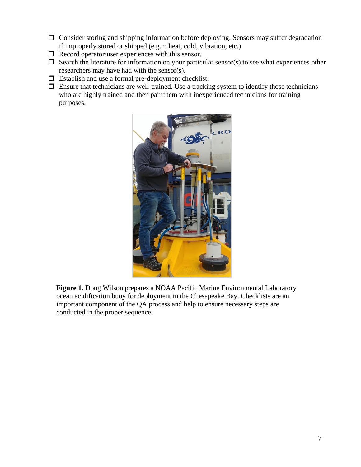- Consider storing and shipping information before deploying. Sensors may suffer degradation if improperly stored or shipped (e.g.m heat, cold, vibration, etc.)
- $\Box$  Record operator/user experiences with this sensor.
- $\Box$  Search the literature for information on your particular sensor(s) to see what experiences other researchers may have had with the sensor(s).
- $\Box$  Establish and use a formal pre-deployment checklist.
- $\Box$  Ensure that technicians are well-trained. Use a tracking system to identify those technicians who are highly trained and then pair them with inexperienced technicians for training purposes.



**Figure 1.** Doug Wilson prepares a NOAA Pacific Marine Environmental Laboratory ocean acidification buoy for deployment in the Chesapeake Bay. Checklists are an important component of the QA process and help to ensure necessary steps are conducted in the proper sequence.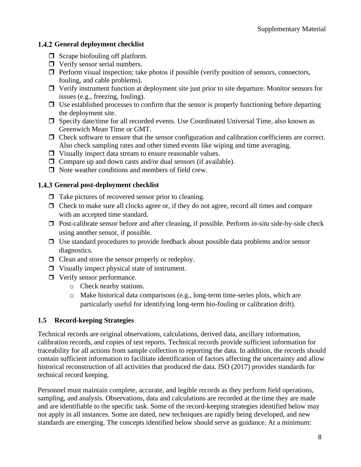### 1.4.2 General deployment checklist

- $\Box$  Scrape biofouling off platform.
- **D** Verify sensor serial numbers.
- $\Box$  Perform visual inspection; take photos if possible (verify position of sensors, connectors, fouling, and cable problems).
- $\Box$  Verify instrument function at deployment site just prior to site departure. Monitor sensors for issues (e.g., freezing, fouling).
- $\Box$  Use established processes to confirm that the sensor is properly functioning before departing the deployment site.
- $\Box$  Specify date/time for all recorded events. Use Coordinated Universal Time, also known as Greenwich Mean Time or GMT.
- $\Box$  Check software to ensure that the sensor configuration and calibration coefficients are correct. Also check sampling rates and other timed events like wiping and time averaging.
- $\Box$  Visually inspect data stream to ensure reasonable values.
- $\Box$  Compare up and down casts and/or dual sensors (if available).
- $\Box$  Note weather conditions and members of field crew.

### **General post-deployment checklist**

- $\Box$  Take pictures of recovered sensor prior to cleaning.
- $\Box$  Check to make sure all clocks agree or, if they do not agree, record all times and compare with an accepted time standard.
- □ Post-calibrate sensor before and after cleaning, if possible. Perform *in-situ* side-by-side check using another sensor, if possible.
- $\Box$  Use standard procedures to provide feedback about possible data problems and/or sensor diagnostics.
- $\Box$  Clean and store the sensor properly or redeploy.
- $\Box$  Visually inspect physical state of instrument.
- $\Box$  Verify sensor performance.
	- o Check nearby stations.
	- $\circ$  Make historical data comparisons (e.g., long-term time-series plots, which are particularly useful for identifying long-term bio-fouling or calibration drift).

### **1.5 Record-keeping Strategies**

Technical records are original observations, calculations, derived data, ancillary information, calibration records, and copies of test reports. Technical records provide sufficient information for traceability for all actions from sample collection to reporting the data. In addition, the records should contain sufficient information to facilitate identification of factors affecting the uncertainty and allow historical reconstruction of all activities that produced the data. ISO (2017) provides standards for technical record keeping.

Personnel must maintain complete, accurate, and legible records as they perform field operations, sampling, and analysis. Observations, data and calculations are recorded at the time they are made and are identifiable to the specific task. Some of the record-keeping strategies identified below may not apply in all instances. Some are dated, new techniques are rapidly being developed, and new standards are emerging. The concepts identified below should serve as guidance. At a minimum: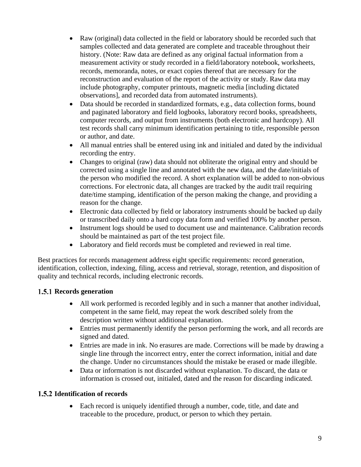- Raw (original) data collected in the field or laboratory should be recorded such that samples collected and data generated are complete and traceable throughout their history. (Note: Raw data are defined as any original factual information from a measurement activity or study recorded in a field/laboratory notebook, worksheets, records, memoranda, notes, or exact copies thereof that are necessary for the reconstruction and evaluation of the report of the activity or study. Raw data may include photography, computer printouts, magnetic media [including dictated observations], and recorded data from automated instruments).
- Data should be recorded in standardized formats, e.g., data collection forms, bound and paginated laboratory and field logbooks, laboratory record books, spreadsheets, computer records, and output from instruments (both electronic and hardcopy). All test records shall carry minimum identification pertaining to title, responsible person or author, and date.
- All manual entries shall be entered using ink and initialed and dated by the individual recording the entry.
- Changes to original (raw) data should not obliterate the original entry and should be corrected using a single line and annotated with the new data, and the date/initials of the person who modified the record. A short explanation will be added to non-obvious corrections. For electronic data, all changes are tracked by the audit trail requiring date/time stamping, identification of the person making the change, and providing a reason for the change.
- Electronic data collected by field or laboratory instruments should be backed up daily or transcribed daily onto a hard copy data form and verified 100% by another person.
- Instrument logs should be used to document use and maintenance. Calibration records should be maintained as part of the test project file.
- Laboratory and field records must be completed and reviewed in real time.

Best practices for records management address eight specific requirements: record generation, identification, collection, indexing, filing, access and retrieval, storage, retention, and disposition of quality and technical records, including electronic records.

# 1.5.1 Records generation

- All work performed is recorded legibly and in such a manner that another individual, competent in the same field, may repeat the work described solely from the description written without additional explanation.
- Entries must permanently identify the person performing the work, and all records are signed and dated.
- Entries are made in ink. No erasures are made. Corrections will be made by drawing a single line through the incorrect entry, enter the correct information, initial and date the change. Under no circumstances should the mistake be erased or made illegible.
- Data or information is not discarded without explanation. To discard, the data or information is crossed out, initialed, dated and the reason for discarding indicated.

# **1.5.2 Identification of records**

• Each record is uniquely identified through a number, code, title, and date and traceable to the procedure, product, or person to which they pertain.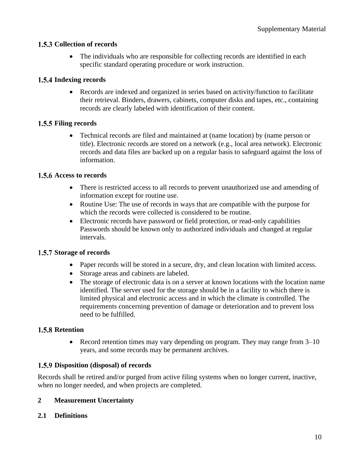### 1.5.3 Collection of records

• The individuals who are responsible for collecting records are identified in each specific standard operating procedure or work instruction.

### 1.5.4 Indexing records

• Records are indexed and organized in series based on activity/function to facilitate their retrieval. Binders, drawers, cabinets, computer disks and tapes, etc., containing records are clearly labeled with identification of their content.

### 1.5.5 Filing records

• Technical records are filed and maintained at (name location) by (name person or title). Electronic records are stored on a network (e.g., local area network). Electronic records and data files are backed up on a regular basis to safeguard against the loss of information.

### 1.5.6 Access to records

- There is restricted access to all records to prevent unauthorized use and amending of information except for routine use.
- Routine Use: The use of records in ways that are compatible with the purpose for which the records were collected is considered to be routine.
- Electronic records have password or field protection, or read-only capabilities Passwords should be known only to authorized individuals and changed at regular intervals.

### 1.5.7 Storage of records

- Paper records will be stored in a secure, dry, and clean location with limited access.
- Storage areas and cabinets are labeled.
- The storage of electronic data is on a server at known locations with the location name identified. The server used for the storage should be in a facility to which there is limited physical and electronic access and in which the climate is controlled. The requirements concerning prevention of damage or deterioration and to prevent loss need to be fulfilled.

### **1.5.8 Retention**

• Record retention times may vary depending on program. They may range from  $3-10$ years, and some records may be permanent archives.

### **Disposition (disposal) of records**

Records shall be retired and/or purged from active filing systems when no longer current, inactive, when no longer needed, and when projects are completed.

### **2 Measurement Uncertainty**

### **2.1 Definitions**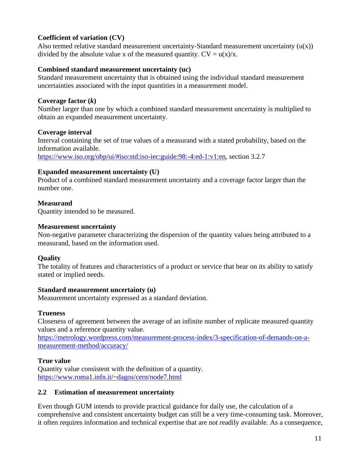### **Coefficient of variation (CV)**

Also termed relative standard measurement uncertainty-Standard measurement uncertainty  $(u(x))$ divided by the absolute value x of the measured quantity.  $CV = u(x)/x$ .

#### **Combined standard measurement uncertainty (uc)**

Standard measurement uncertainty that is obtained using the individual standard measurement uncertainties associated with the input quantities in a measurement model.

#### **Coverage factor (***k***)**

Number larger than one by which a combined standard measurement uncertainty is multiplied to obtain an expanded measurement uncertainty.

#### **Coverage interval**

Interval containing the set of true values of a measurand with a stated probability, based on the information available.

[https://www.iso.org/obp/ui/#iso:std:iso-iec:guide:98:-4:ed-1:v1:en,](https://www.iso.org/obp/ui/#iso:std:iso-iec:guide:98:-4:ed-1:v1:en) section 3.2.7

#### **Expanded measurement uncertainty (U)**

Product of a combined standard measurement uncertainty and a coverage factor larger than the number one.

### **Measurand**

Quantity intended to be measured.

#### **Measurement uncertainty**

Non-negative parameter characterizing the dispersion of the quantity values being attributed to a measurand, based on the information used.

### **Quality**

The totality of features and characteristics of a product or service that bear on its ability to satisfy stated or implied needs.

#### **Standard measurement uncertainty (u)**

Measurement uncertainty expressed as a standard deviation.

### **Trueness**

Closeness of agreement between the average of an infinite number of replicate measured quantity values and a reference quantity value.

[https://metrology.wordpress.com/measurement-process-index/3-specification-of-demands-on-a](https://metrology.wordpress.com/measurement-process-index/3-specification-of-demands-on-a-measurement-method/accuracy/)[measurement-method/accuracy/](https://metrology.wordpress.com/measurement-process-index/3-specification-of-demands-on-a-measurement-method/accuracy/)

### **True value**

Quantity value consistent with the definition of a quantity. <https://www.roma1.infn.it/~dagos/cern/node7.html>

### **2.2 Estimation of measurement uncertainty**

Even though GUM intends to provide practical guidance for daily use, the calculation of a comprehensive and consistent uncertainty budget can still be a very time-consuming task. Moreover, it often requires information and technical expertise that are not readily available. As a consequence,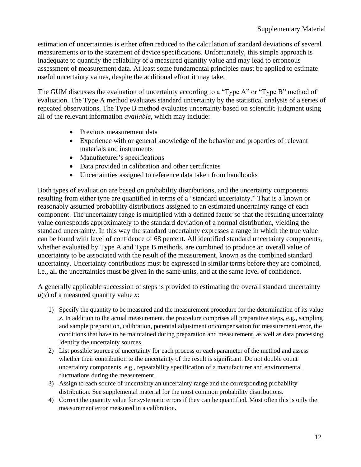estimation of uncertainties is either often reduced to the calculation of standard deviations of several measurements or to the statement of device specifications. Unfortunately, this simple approach is inadequate to quantify the reliability of a measured quantity value and may lead to erroneous assessment of measurement data. At least some fundamental principles must be applied to estimate useful uncertainty values, despite the additional effort it may take.

The GUM discusses the evaluation of uncertainty according to a "Type A" or "Type B" method of evaluation. The Type A method evaluates standard uncertainty by the statistical analysis of a series of repeated observations. The Type B method evaluates uncertainty based on scientific judgment using all of the relevant information *available*, which may include:

- Previous measurement data
- Experience with or general knowledge of the behavior and properties of relevant materials and instruments
- Manufacturer's specifications
- Data provided in calibration and other certificates
- Uncertainties assigned to reference data taken from handbooks

Both types of evaluation are based on probability distributions, and the uncertainty components resulting from either type are quantified in terms of a "standard uncertainty." That is a known or reasonably assumed probability distributions assigned to an estimated uncertainty range of each component. The uncertainty range is multiplied with a defined factor so that the resulting uncertainty value corresponds approximately to the standard deviation of a normal distribution, yielding the standard uncertainty. In this way the standard uncertainty expresses a range in which the true value can be found with level of confidence of 68 percent. All identified standard uncertainty components, whether evaluated by Type A and Type B methods, are combined to produce an overall value of uncertainty to be associated with the result of the measurement, known as the combined standard uncertainty. Uncertainty contributions must be expressed in similar terms before they are combined, i.e., all the uncertainties must be given in the same units, and at the same level of confidence.

A generally applicable succession of steps is provided to estimating the overall standard uncertainty  $u(x)$  of a measured quantity value *x*:

- 1) Specify the quantity to be measured and the measurement procedure for the determination of its value *x*. In addition to the actual measurement, the procedure comprises all preparative steps, e.g., sampling and sample preparation, calibration, potential adjustment or compensation for measurement error, the conditions that have to be maintained during preparation and measurement, as well as data processing. Identify the uncertainty sources.
- 2) List possible sources of uncertainty for each process or each parameter of the method and assess whether their contribution to the uncertainty of the result is significant. Do not double count uncertainty components, e.g., repeatability specification of a manufacturer and environmental fluctuations during the measurement.
- 3) Assign to each source of uncertainty an uncertainty range and the corresponding probability distribution. See supplemental material for the most common probability distributions.
- 4) Correct the quantity value for systematic errors if they can be quantified. Most often this is only the measurement error measured in a calibration.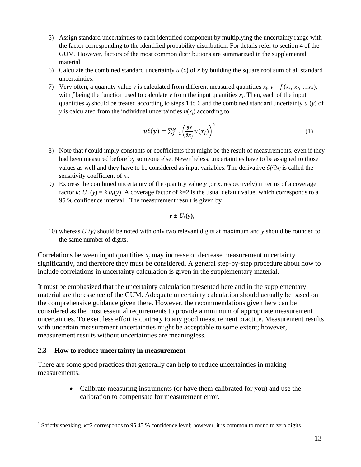- 5) Assign standard uncertainties to each identified component by multiplying the uncertainty range with the factor corresponding to the identified probability distribution. For details refer to section 4 of the GUM. However, factors of the most common distributions are summarized in the supplemental material.
- 6) Calculate the combined standard uncertainty  $u_c(x)$  of x by building the square root sum of all standard uncertainties.
- 7) Very often, a quantity value *y* is calculated from different measured quantities  $x_i$ :  $y = f(x_i, x_2, \ldots, x_N)$ , with *f* being the function used to calculate *y* from the input quantities *xj*. Then, each of the input quantities *x<sup>j</sup>* should be treated according to steps 1 to 6 and the combined standard uncertainty *u*c(*y*) of *y* is calculated from the individual uncertainties  $u(x_i)$  according to

$$
u_c^2(y) = \sum_{j=1}^N \left(\frac{\partial f}{\partial x_j} u(x_j)\right)^2
$$
 (1)

- 8) Note that *f* could imply constants or coefficients that might be the result of measurements, even if they had been measured before by someone else. Nevertheless, uncertainties have to be assigned to those values as well and they have to be considered as input variables. The derivative  $\partial f/\partial x_i$  is called the sensitivity coefficient of *xj*.
- 9) Express the combined uncertainty of the quantity value *y* (or *x*, respectively) in terms of a coverage factor *k*:  $U_c$  (*y*) = *k u<sub>c</sub>*(*y*). A coverage factor of  $k=2$  is the usual default value, which corresponds to a 95 % confidence interval<sup>1</sup>. The measurement result is given by

$$
y\pm U_c(y),
$$

10) whereas *Uc(y)* should be noted with only two relevant digits at maximum and *y* should be rounded to the same number of digits.

Correlations between input quantities *x<sup>j</sup>* may increase or decrease measurement uncertainty significantly, and therefore they must be considered. A general step-by-step procedure about how to include correlations in uncertainty calculation is given in the supplementary material.

It must be emphasized that the uncertainty calculation presented here and in the supplementary material are the essence of the GUM. Adequate uncertainty calculation should actually be based on the comprehensive guidance given there. However, the recommendations given here can be considered as the most essential requirements to provide a minimum of appropriate measurement uncertainties. To exert less effort is contrary to any good measurement practice. Measurement results with uncertain measurement uncertainties might be acceptable to some extent; however, measurement results without uncertainties are meaningless.

#### **2.3 How to reduce uncertainty in measurement**

There are some good practices that generally can help to reduce uncertainties in making measurements.

> • Calibrate measuring instruments (or have them calibrated for you) and use the calibration to compensate for measurement error.

<sup>1</sup> Strictly speaking, *k*=2 corresponds to 95.45 % confidence level; however, it is common to round to zero digits.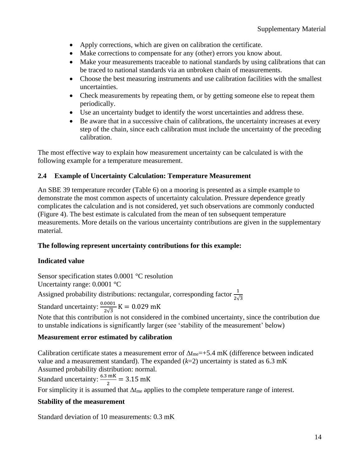- Apply corrections, which are given on calibration the certificate.
- Make corrections to compensate for any (other) errors you know about.
- Make your measurements traceable to national standards by using calibrations that can be traced to national standards via an unbroken chain of measurements.
- Choose the best measuring instruments and use calibration facilities with the smallest uncertainties.
- Check measurements by repeating them, or by getting someone else to repeat them periodically.
- Use an uncertainty budget to identify the worst uncertainties and address these.
- Be aware that in a successive chain of calibrations, the uncertainty increases at every step of the chain, since each calibration must include the uncertainty of the preceding calibration.

The most effective way to explain how measurement uncertainty can be calculated is with the following example for a temperature measurement.

### **2.4 Example of Uncertainty Calculation: Temperature Measurement**

An SBE 39 temperature recorder (Table 6) on a mooring is presented as a simple example to demonstrate the most common aspects of uncertainty calculation. Pressure dependence greatly complicates the calculation and is not considered, yet such observations are commonly conducted (Figure 4). The best estimate is calculated from the mean of ten subsequent temperature measurements. More details on the various uncertainty contributions are given in the supplementary material.

### **The following represent uncertainty contributions for this example:**

### **Indicated value**

Sensor specification states 0.0001 °C resolution Uncertainty range: 0.0001 °C

Assigned probability distributions: rectangular, corresponding factor  $\frac{1}{2\sqrt{3}}$ 

Standard uncertainty:  $\frac{0.0001}{2.5}$  $\frac{6001}{2\sqrt{3}}$  K = 0.029 mK

Note that this contribution is not considered in the combined uncertainty, since the contribution due to unstable indications is significantly larger (see 'stability of the measurement' below)

### **Measurement error estimated by calibration**

Calibration certificate states a measurement error of  $\Delta t_{\text{me}} = +5.4 \text{ mK}$  (difference between indicated value and a measurement standard). The expanded  $(k=2)$  uncertainty is stated as 6.3 mK Assumed probability distribution: normal.

Standard uncertainty:  $\frac{6.3 \text{ mK}}{2}$  $\frac{1}{2}$  = 3.15 mK

For simplicity it is assumed that  $\Delta t_{\text{me}}$  applies to the complete temperature range of interest.

### **Stability of the measurement**

Standard deviation of 10 measurements: 0.3 mK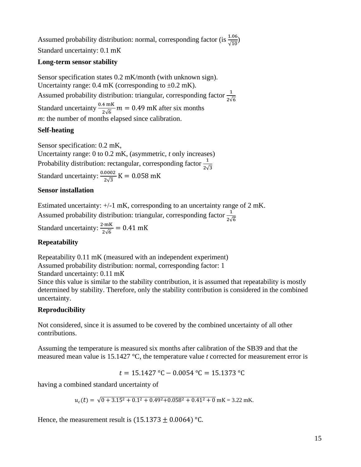Assumed probability distribution: normal, corresponding factor (is  $\frac{1.06}{\sqrt{10}}$ ) Standard uncertainty: 0.1 mK

#### **Long-term sensor stability**

Sensor specification states 0.2 mK/month (with unknown sign). Uncertainty range:  $0.4$  mK (corresponding to  $\pm 0.2$  mK). Assumed probability distribution: triangular, corresponding factor  $\frac{1}{2\sqrt{6}}$ Standard uncertainty  $\frac{0.4 \text{ mK}}{2\sqrt{6}} m = 0.49 \text{ mK}$  after six months *m*: the number of months elapsed since calibration.

### **Self-heating**

Sensor specification: 0.2 mK, Uncertainty range: 0 to 0.2 mK, (asymmetric, *t* only increases) Probability distribution: rectangular, corresponding factor  $\frac{1}{2\sqrt{3}}$ Standard uncertainty:  $\frac{0.0002}{2.2}$  $\frac{6002}{2\sqrt{3}}$  K = 0.058 mK

#### **Sensor installation**

Estimated uncertainty: +/-1 mK, corresponding to an uncertainty range of 2 mK.

Assumed probability distribution: triangular, corresponding factor  $\frac{1}{2\sqrt{6}}$ 

Standard uncertainty:  $\frac{2 \cdot mK}{2\sqrt{6}}$  $\frac{10}{2\sqrt{6}}$  = 0.41 mK

#### **Repeatability**

Repeatability 0.11 mK (measured with an independent experiment) Assumed probability distribution: normal, corresponding factor: 1 Standard uncertainty: 0.11 mK

Since this value is similar to the stability contribution, it is assumed that repeatability is mostly determined by stability. Therefore, only the stability contribution is considered in the combined uncertainty.

### **Reproducibility**

Not considered, since it is assumed to be covered by the combined uncertainty of all other contributions.

Assuming the temperature is measured six months after calibration of the SB39 and that the measured mean value is 15.1427 °C, the temperature value *t* corrected for measurement error is

 $t = 15.1427$  °C – 0.0054 °C = 15.1373 °C

having a combined standard uncertainty of

 $u_c(t) = \sqrt{0 + 3.15^2 + 0.1^2 + 0.49^2 + 0.058^2 + 0.41^2 + 0}$  mK = 3.22 mK.

Hence, the measurement result is  $(15.1373 \pm 0.0064)$  °C.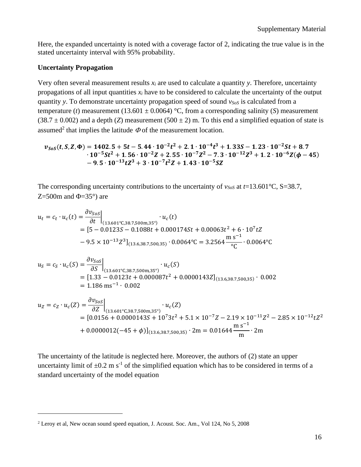Here, the expanded uncertainty is noted with a coverage factor of 2, indicating the true value is in the stated uncertainty interval with 95% probability.

#### **Uncertainty Propagation**

Very often several measurement results  $x_i$  are used to calculate a quantity  $y$ . Therefore, uncertainty propagations of all input quantities *x<sup>i</sup>* have to be considered to calculate the uncertainty of the output quantity *y*. To demonstrate uncertainty propagation speed of sound *vSoS* is calculated from a temperature (*t*) measurement (13.601  $\pm$  0.0064) °C, from a corresponding salinity (*S*) measurement  $(38.7 \pm 0.002)$  and a depth (*Z*) measurement  $(500 \pm 2)$  m. To this end a simplified equation of state is assumed<sup>2</sup> that implies the latitude  $\Phi$  of the measurement location.

$$
v_{SoS}(t, S, Z, \Phi) = 1402.5 + 5t - 5.44 \cdot 10^{-2}t^2 + 2.1 \cdot 10^{-4}t^3 + 1.33S - 1.23 \cdot 10^{-2}St + 8.7
$$
  
\n
$$
\cdot 10^{-5}St^2 + 1.56 \cdot 10^{-2}Z + 2.55 \cdot 10^{-7}Z^2 - 7.3 \cdot 10^{-12}Z^3 + 1.2 \cdot 10^{-6}Z(\phi - 45)
$$
  
\n
$$
-9.5 \cdot 10^{-13}tZ^3 + 3 \cdot 10^{-7}t^2Z + 1.43 \cdot 10^{-5}SZ
$$

The corresponding uncertainty contributions to the uncertainty of  $v_{SoS}$  at  $t=13.601^{\circ}\text{C}$ , S=38.7, Z=500m and  $\Phi$ =35°) are

$$
u_t = c_t \cdot u_c(t) = \frac{\partial v_{SoS}}{\partial t}\Big|_{(13.601^\circ \text{C}, 38.7, 500 \text{m}, 35^\circ)} \cdot u_c(t)
$$
  
= [5 - 0.0123S - 0.1088t + 0.000174St + 0.00063t<sup>2</sup> + 6 \cdot 10<sup>7</sup>tZ  
- 9.5 × 10<sup>-13</sup>Z<sup>3</sup>]<sub>(13.6, 38.7, 500, 35)</sub> · 0.0064°C = 3.2564  $\frac{\text{m s}^{-1}}{\text{oC}}$  · 0.0064°C

$$
u_S = c_S \cdot u_c(S) = \frac{\partial v_{SoS}}{\partial S}\Big|_{(13.601^\circ \text{C}, 38.7, 500 \text{m}, 35^\circ)} \cdot u_c(S)
$$
  
= [1.33 - 0.0123t + 0.000087t<sup>2</sup> + 0.0000143Z]<sub>(13.6, 38.7, 500, 35)</sub> · 0.002  
= 1.186 ms<sup>-1</sup> · 0.002

$$
u_Z = c_Z \cdot u_c(Z) = \frac{\partial v_{SoS}}{\partial Z}\Big|_{(13.601^\circ \text{C}, 38.7, 500 \text{m}, 35^\circ)} \cdot u_c(Z)
$$
  
= [0.0156 + 0.0000143S + 10<sup>7</sup>3t<sup>2</sup> + 5.1 × 10<sup>-7</sup>Z - 2.19 × 10<sup>-11</sup>Z<sup>2</sup> - 2.85 × 10<sup>-12</sup>tZ<sup>2</sup>  
+ 0.0000012(-45 +  $\phi$ )]<sub>(13.6, 38.7, 500, 35)</sub> · 2m = 0.01644  $\frac{\text{m s}^{-1}}{\text{m}}$  · 2m

The uncertainty of the latitude is neglected here. Moreover, the authors of (2) state an upper uncertainty limit of  $\pm 0.2$  m s<sup>-1</sup> of the simplified equation which has to be considered in terms of a standard uncertainty of the model equation

<sup>2</sup> Leroy et al, New ocean sound speed equation, J. Acoust. Soc. Am., Vol 124, No 5, 2008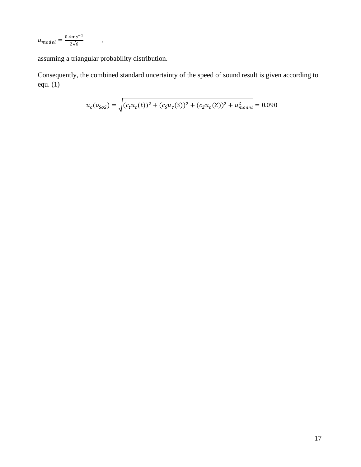$u_{model} = \frac{0.4 \text{m} s^{-1}}{2\sqrt{6}}$  $\frac{1}{2\sqrt{6}}$ ,

assuming a triangular probability distribution.

Consequently, the combined standard uncertainty of the speed of sound result is given according to equ. (1)

$$
u_c(v_{SoS}) = \sqrt{(c_t u_c(t))^2 + (c_S u_c(S))^2 + (c_Z u_c(Z))^2 + u_{model}^2} = 0.090
$$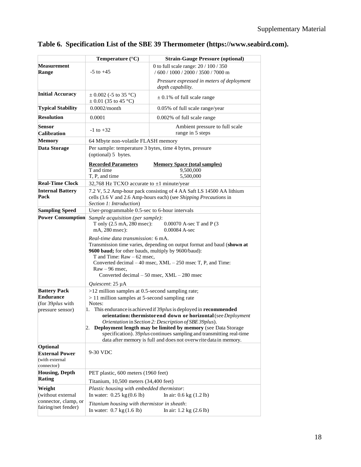|  |  | Table 6. Specification List of the SBE 39 Thermometer (https://www.seabird.com). |  |  |
|--|--|----------------------------------------------------------------------------------|--|--|
|  |  |                                                                                  |  |  |

|                                                                                                                                                                                                      | Temperature $(^{\circ}C)$                                                                                                                                                                                                                                                                                                                                                                                               | <b>Strain-Gauge Pressure (optional)</b>                                       |  |  |  |  |  |
|------------------------------------------------------------------------------------------------------------------------------------------------------------------------------------------------------|-------------------------------------------------------------------------------------------------------------------------------------------------------------------------------------------------------------------------------------------------------------------------------------------------------------------------------------------------------------------------------------------------------------------------|-------------------------------------------------------------------------------|--|--|--|--|--|
| Measurement<br>Range                                                                                                                                                                                 | $-5$ to $+45$                                                                                                                                                                                                                                                                                                                                                                                                           | 0 to full scale range: 20 / 100 / 350<br>$/600 / 1000 / 2000 / 3500 / 7000$ m |  |  |  |  |  |
|                                                                                                                                                                                                      |                                                                                                                                                                                                                                                                                                                                                                                                                         | Pressure expressed in meters of deployment<br>depth capability.               |  |  |  |  |  |
| <b>Initial Accuracy</b>                                                                                                                                                                              | $\pm$ 0.002 (-5 to 35 °C)<br>$\pm$ 0.01 (35 to 45 °C)                                                                                                                                                                                                                                                                                                                                                                   | $\pm$ 0.1% of full scale range                                                |  |  |  |  |  |
| <b>Typical Stability</b>                                                                                                                                                                             | 0.0002/month                                                                                                                                                                                                                                                                                                                                                                                                            | 0.05% of full scale range/year                                                |  |  |  |  |  |
| <b>Resolution</b>                                                                                                                                                                                    | 0.0001                                                                                                                                                                                                                                                                                                                                                                                                                  | 0.002% of full scale range                                                    |  |  |  |  |  |
| <b>Sensor</b><br><b>Calibration</b>                                                                                                                                                                  | $-1$ to $+32$                                                                                                                                                                                                                                                                                                                                                                                                           | Ambient pressure to full scale<br>range in 5 steps                            |  |  |  |  |  |
| <b>Memory</b>                                                                                                                                                                                        | 64 Mbyte non-volatile FLASH memory                                                                                                                                                                                                                                                                                                                                                                                      |                                                                               |  |  |  |  |  |
| Data Storage                                                                                                                                                                                         | Per sample: temperature 3 bytes, time 4 bytes, pressure<br>(optional) 5 bytes.                                                                                                                                                                                                                                                                                                                                          |                                                                               |  |  |  |  |  |
|                                                                                                                                                                                                      | <b>Recorded Parameters</b><br>T and time                                                                                                                                                                                                                                                                                                                                                                                | <b>Memory Space (total samples)</b><br>9,500,000                              |  |  |  |  |  |
| <b>Real-Time Clock</b>                                                                                                                                                                               | T, P, and time                                                                                                                                                                                                                                                                                                                                                                                                          | 5,500,000                                                                     |  |  |  |  |  |
| <b>Internal Battery</b><br>Pack                                                                                                                                                                      | 32,768 Hz TCXO accurate to ±1 minute/year<br>7.2 V, 5.2 Amp-hour pack consisting of 4 AA Saft LS 14500 AA lithium<br>cells (3.6 V and 2.6 Amp-hours each) (see Shipping Precautions in                                                                                                                                                                                                                                  |                                                                               |  |  |  |  |  |
| <b>Sampling Speed</b>                                                                                                                                                                                | Section 1: Introduction)<br>User-programmable 0.5-sec to 6-hour intervals                                                                                                                                                                                                                                                                                                                                               |                                                                               |  |  |  |  |  |
| <b>Power Consumption</b><br>Sample acquisition (per sample):<br>T only (2.5 mA, 280 msec):<br>$0.00070$ A-sec T and P (3)<br>mA, 280 msec):<br>$0.00084$ A-sec<br>Real-time data transmission: 6 mA. |                                                                                                                                                                                                                                                                                                                                                                                                                         |                                                                               |  |  |  |  |  |
|                                                                                                                                                                                                      | Transmission time varies, depending on output format and baud (shown at<br>9600 baud; for other bauds, multiply by 9600/baud):<br>T and Time: $Raw - 62$ msec,                                                                                                                                                                                                                                                          |                                                                               |  |  |  |  |  |
| Converted decimal – 40 msec, XML – 250 msec T, P, and Time:<br>$Raw - 96$ msec,<br>Converted decimal $-50$ msec, $XML - 280$ msec                                                                    |                                                                                                                                                                                                                                                                                                                                                                                                                         |                                                                               |  |  |  |  |  |
|                                                                                                                                                                                                      | Quiescent: 25 µA                                                                                                                                                                                                                                                                                                                                                                                                        |                                                                               |  |  |  |  |  |
| <b>Battery Pack</b><br><b>Endurance</b>                                                                                                                                                              | $>12$ million samples at 0.5-second sampling rate;                                                                                                                                                                                                                                                                                                                                                                      |                                                                               |  |  |  |  |  |
| (for 39 <i>plus</i> with                                                                                                                                                                             | $> 11$ million samples at 5-second sampling rate<br>Notes:                                                                                                                                                                                                                                                                                                                                                              |                                                                               |  |  |  |  |  |
| pressure sensor)                                                                                                                                                                                     | This endurance is achieved if 39plus is deployed in recommended<br>1.<br>orientation: thermistor end down or horizontal (see Deployment<br>Orientation in Section 2: Description of SBE 39plus).<br>2. Deployment length may be limited by memory (see Data Storage<br>specification). 39 <i>plus</i> continues sampling and transmitting real-time<br>data after memory is full and does not overwrite data in memory. |                                                                               |  |  |  |  |  |
| Optional<br><b>External Power</b><br>(with external<br>connector)                                                                                                                                    | 9-30 VDC                                                                                                                                                                                                                                                                                                                                                                                                                |                                                                               |  |  |  |  |  |
| <b>Housing, Depth</b><br><b>Rating</b>                                                                                                                                                               | PET plastic, 600 meters (1960 feet)<br>Titanium, 10,500 meters (34,400 feet)                                                                                                                                                                                                                                                                                                                                            |                                                                               |  |  |  |  |  |
| Weight                                                                                                                                                                                               | Plastic housing with embedded thermistor:                                                                                                                                                                                                                                                                                                                                                                               |                                                                               |  |  |  |  |  |
| (without external<br>connector, clamp, or                                                                                                                                                            | In water: $0.25 \text{ kg} (0.6 \text{ lb})$                                                                                                                                                                                                                                                                                                                                                                            | In air: $0.6 \text{ kg} (1.2 \text{ lb})$                                     |  |  |  |  |  |
| fairing/net fender)                                                                                                                                                                                  | Titanium housing with thermistor in sheath:<br>In water: $0.7 \text{ kg} (1.6 \text{ lb})$<br>In air: $1.2 \text{ kg} (2.6 \text{ lb})$                                                                                                                                                                                                                                                                                 |                                                                               |  |  |  |  |  |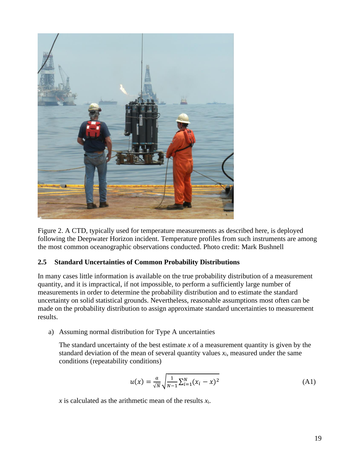

Figure 2. A CTD, typically used for temperature measurements as described here, is deployed following the Deepwater Horizon incident. Temperature profiles from such instruments are among the most common oceanographic observations conducted. Photo credit: Mark Bushnell

### **2.5 Standard Uncertainties of Common Probability Distributions**

In many cases little information is available on the true probability distribution of a measurement quantity, and it is impractical, if not impossible, to perform a sufficiently large number of measurements in order to determine the probability distribution and to estimate the standard uncertainty on solid statistical grounds. Nevertheless, reasonable assumptions most often can be made on the probability distribution to assign approximate standard uncertainties to measurement results.

a) Assuming normal distribution for Type A uncertainties

The standard uncertainty of the best estimate *x* of a measurement quantity is given by the standard deviation of the mean of several quantity values  $x_i$ , measured under the same conditions (repeatability conditions)

$$
u(x) = \frac{a}{\sqrt{N}} \sqrt{\frac{1}{N-1} \sum_{i=1}^{N} (x_i - x)^2}
$$
 (A1)

 $\chi$  is calculated as the arithmetic mean of the results  $\chi$ <sub>i</sub>.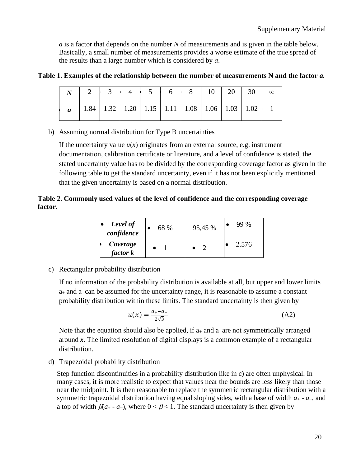*a* is a factor that depends on the number *N* of measurements and is given in the table below. Basically, a small number of measurements provides a worse estimate of the true spread of the results than a large number which is considered by *a*.

### **Table 1. Examples of the relationship between the number of measurements N and the factor** *a.*

|                  | $N$   2   3   4   5   6   8   10   20   30                   |  |  |  |  | $\infty$ |
|------------------|--------------------------------------------------------------|--|--|--|--|----------|
| $\boldsymbol{a}$ | 1.84   1.32   1.20   1.15   1.11   1.08   1.06   1.03   1.02 |  |  |  |  |          |

b) Assuming normal distribution for Type B uncertainties

If the uncertainty value  $u(x)$  originates from an external source, e.g. instrument documentation, calibration certificate or literature, and a level of confidence is stated, the stated uncertainty value has to be divided by the corresponding coverage factor as given in the following table to get the standard uncertainty, even if it has not been explicitly mentioned that the given uncertainty is based on a normal distribution.

### **Table 2. Commonly used values of the level of confidence and the corresponding coverage factor.**

| Level of<br>confidence | 68 % | 95,45 % | 99 %  |
|------------------------|------|---------|-------|
| Coverage<br>factor k   |      |         | 2.576 |

c) Rectangular probability distribution

If no information of the probability distribution is available at all, but upper and lower limits  $a_{+}$  and  $a_{-}$  can be assumed for the uncertainty range, it is reasonable to assume a constant probability distribution within these limits. The standard uncertainty is then given by

$$
u(x) = \frac{a_+ - a_-}{2\sqrt{3}}
$$
 (A2)

Note that the equation should also be applied, if  $a_{+}$  and a are not symmetrically arranged around *x*. The limited resolution of digital displays is a common example of a rectangular distribution.

d) Trapezoidal probability distribution

Step function discontinuities in a probability distribution like in c) are often unphysical. In many cases, it is more realistic to expect that values near the bounds are less likely than those near the midpoint. It is then reasonable to replace the symmetric rectangular distribution with a symmetric trapezoidal distribution having equal sloping sides, with a base of width *a*<sup>+</sup> - *a*−, and a top of width  $\beta(a_+ - a_-)$ , where  $0 < \beta < 1$ . The standard uncertainty is then given by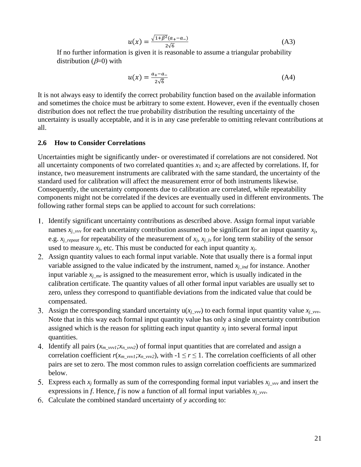$$
u(x) = \frac{\sqrt{1 + \beta^2} (a_+ - a_-)}{2\sqrt{6}} \tag{A3}
$$

If no further information is given it is reasonable to assume a triangular probability distribution ( $\beta$ =0) with

$$
u(x) = \frac{a_+ - a_-}{2\sqrt{6}}\tag{A4}
$$

It is not always easy to identify the correct probability function based on the available information and sometimes the choice must be arbitrary to some extent. However, even if the eventually chosen distribution does not reflect the true probability distribution the resulting uncertainty of the uncertainty is usually acceptable, and it is in any case preferable to omitting relevant contributions at all.

#### **2.6 How to Consider Correlations**

Uncertainties might be significantly under- or overestimated if correlations are not considered. Not all uncertainty components of two correlated quantities  $x_1$  and  $x_2$  are affected by correlations. If, for instance, two measurement instruments are calibrated with the same standard, the uncertainty of the standard used for calibration will affect the measurement error of both instruments likewise. Consequently, the uncertainty components due to calibration are correlated, while repeatability components might not be correlated if the devices are eventually used in different environments. The following rather formal steps can be applied to account for such correlations:

- 1. Identify significant uncertainty contributions as described above. Assign formal input variable names  $x_j$ <sub>*\_vvv*</sub> for each uncertainty contribution assumed to be significant for an input quantity  $x_j$ , e.g. *xj\_repeat* for repeatability of the measurement of *xj, xj\_ls* for long term stability of the sensor used to measure  $x_j$ , etc. This must be conducted for each input quantity  $x_j$ .
- Assign quantity values to each formal input variable. Note that usually there is a formal input variable assigned to the value indicated by the instrument, named *xj\_ind* for instance. Another input variable *xj\_me* is assigned to the measurement error, which is usually indicated in the calibration certificate. The quantity values of all other formal input variables are usually set to zero, unless they correspond to quantifiable deviations from the indicated value that could be compensated.
- 3. Assign the corresponding standard uncertainty  $u(x_j_{\text{pvv}})$  to each formal input quantity value  $x_j_{\text{pvv}}$ . Note that in this way each formal input quantity value has only a single uncertainty contribution assigned which is the reason for splitting each input quantity  $x_i$  into several formal input quantities.
- 4. Identify all pairs ( $x_{m\_vvv1}$ ;  $x_{n\_vvv2}$ ) of formal input quantities that are correlated and assign a correlation coefficient  $r(x_{m\_vvv1}, x_{n\_vvv2})$ , with  $-1 \le r \le 1$ . The correlation coefficients of all other pairs are set to zero. The most common rules to assign correlation coefficients are summarized below.
- 5. Express each  $x_j$  formally as sum of the corresponding formal input variables  $x_{j\perp}$ <sub>*vvv*</sub> and insert the expressions in *f*. Hence, *f* is now a function of all formal input variables *xj\_vvv*.
- Calculate the combined standard uncertainty of *y* according to: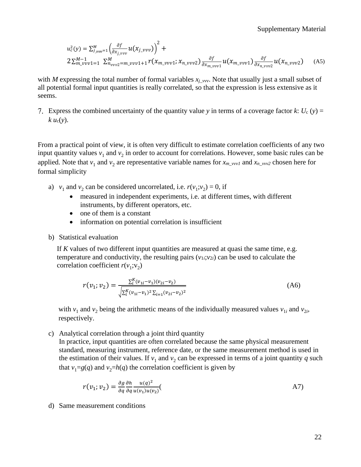$$
u_c^2(y) = \sum_{j_{\text{pvv}}=1}^{M} \left( \frac{\partial f}{\partial x_{j_{\text{pvv}}}} u(x_{j_{\text{pvv}}}) \right)^2 +
$$
  
2 $\sum_{m_{\text{pvv}}=1}^{M-1} \sum_{n_{\text{pvv}}=m_{\text{pvv}}=1}^{M} \sum_{i=1}^{M} r(x_{m_{\text{pvv}}}\cdot x_{n_{\text{pvv}}}) \frac{\partial f}{\partial x_{m_{\text{pvv}}}} u(x_{m_{\text{pvv}}}\cdot y_{0}) \frac{\partial f}{\partial x_{n_{\text{pvv}}}} u(x_{n_{\text{pvv}}}\cdot y_{0})$  (A5)

with *M* expressing the total number of formal variables  $x_j$ <sub>*\_vvv*</sub>. Note that usually just a small subset of all potential formal input quantities is really correlated, so that the expression is less extensive as it seems.

7. Express the combined uncertainty of the quantity value *y* in terms of a coverage factor *k*:  $U_c(y) =$  $k u_c(y)$ .

From a practical point of view, it is often very difficult to estimate correlation coefficients of any two input quantity values  $v_1$  and  $v_2$  in order to account for correlations. However, some basic rules can be applied. Note that  $v_1$  and  $v_2$  are representative variable names for  $x_{m\_vvv1}$  and  $x_{n\_vvv2}$  chosen here for formal simplicity

- a)  $v_1$  and  $v_2$  can be considered uncorrelated, i.e.  $r(v_1; v_2) = 0$ , if
	- measured in independent experiments, i.e. at different times, with different instruments, by different operators, etc.
	- one of them is a constant
	- information on potential correlation is insufficient
- b) Statistical evaluation

If *K* values of two different input quantities are measured at quasi the same time, e.g. temperature and conductivity, the resulting pairs  $(v_{1i}; v_{2i})$  can be used to calculate the correlation coefficient  $r(v_1; v_2)$ 

$$
r(v_1; v_2) = \frac{\sum_{i}^{K} (v_{1i} - v_1)(v_{2i} - v_2)}{\sqrt{\sum_{i}^{K} (v_{1i} - v_1)^2 \sum_{i=1}^{K} (v_{2i} - v_2)^2}}
$$
(A6)

with  $v_1$  and  $v_2$  being the arithmetic means of the individually measured values  $v_{1i}$  and  $v_{2i}$ , respectively.

c) Analytical correlation through a joint third quantity

In practice, input quantities are often correlated because the same physical measurement standard, measuring instrument, reference date, or the same measurement method is used in the estimation of their values. If  $v_1$  and  $v_2$  can be expressed in terms of a joint quantity  $q$  such that  $v_1 = g(q)$  and  $v_2 = h(q)$  the correlation coefficient is given by

$$
r(v_1; v_2) = \frac{\partial g}{\partial q} \frac{\partial h}{\partial q} \frac{u(q)^2}{u(v_1)u(v_2)}.
$$

d) Same measurement conditions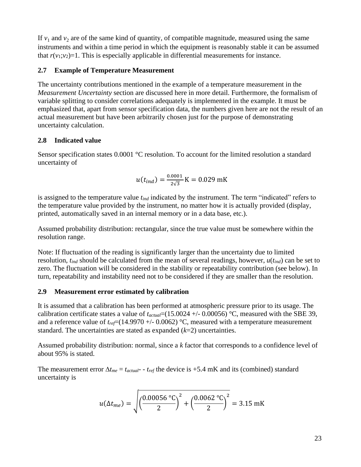If  $v_1$  and  $v_2$  are of the same kind of quantity, of compatible magnitude, measured using the same instruments and within a time period in which the equipment is reasonably stable it can be assumed that  $r(v_1; v_2)=1$ . This is especially applicable in differential measurements for instance.

### **2.7 Example of Temperature Measurement**

The uncertainty contributions mentioned in the example of a temperature measurement in the *Measurement Uncertainty* section are discussed here in more detail. Furthermore, the formalism of variable splitting to consider correlations adequately is implemented in the example. It must be emphasized that, apart from sensor specification data, the numbers given here are not the result of an actual measurement but have been arbitrarily chosen just for the purpose of demonstrating uncertainty calculation.

### **2.8 Indicated value**

Sensor specification states 0.0001 °C resolution. To account for the limited resolution a standard uncertainty of

$$
u(t_{ind}) = \frac{0.0001}{2\sqrt{3}} K = 0.029 \text{ mK}
$$

is assigned to the temperature value *tind* indicated by the instrument. The term "indicated" refers to the temperature value provided by the instrument, no matter how it is actually provided (display, printed, automatically saved in an internal memory or in a data base, etc.).

Assumed probability distribution: rectangular, since the true value must be somewhere within the resolution range.

Note: If fluctuation of the reading is significantly larger than the uncertainty due to limited resolution, *tind* should be calculated from the mean of several readings, however, *u*(*tind*) can be set to zero. The fluctuation will be considered in the stability or repeatability contribution (see below). In turn, repeatability and instability need not to be considered if they are smaller than the resolution.

### **2.9 Measurement error estimated by calibration**

It is assumed that a calibration has been performed at atmospheric pressure prior to its usage. The calibration certificate states a value of  $t_{actual} = (15.0024 +/- 0.00056)$  °C, measured with the SBE 39, and a reference value of  $t_{ref}$ =(14.9970 +/- 0.0062) °C, measured with a temperature measurement standard. The uncertainties are stated as expanded (*k*=2) uncertainties.

Assumed probability distribution: normal, since a *k* factor that corresponds to a confidence level of about 95% is stated.

The measurement error  $\Delta t_{me} = t_{actual}$  -  $t_{ref}$  the device is +5.4 mK and its (combined) standard uncertainty is

$$
u(\Delta t_{me}) = \sqrt{\left(\frac{0.00056 \text{ °C}}{2}\right)^2 + \left(\frac{0.0062 \text{ °C}}{2}\right)^2} = 3.15 \text{ mK}
$$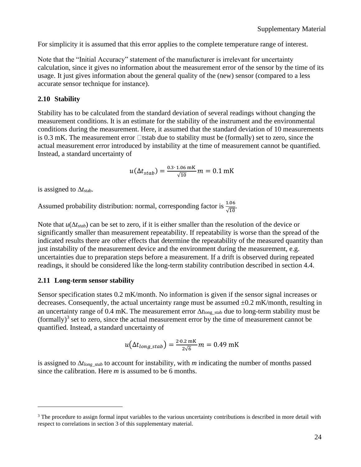For simplicity it is assumed that this error applies to the complete temperature range of interest.

Note that the "Initial Accuracy" statement of the manufacturer is irrelevant for uncertainty calculation, since it gives no information about the measurement error of the sensor by the time of its usage. It just gives information about the general quality of the (new) sensor (compared to a less accurate sensor technique for instance).

#### **2.10 Stability**

Stability has to be calculated from the standard deviation of several readings without changing the measurement conditions. It is an estimate for the stability of the instrument and the environmental conditions during the measurement. Here, it assumed that the standard deviation of 10 measurements is 0.3 mK. The measurement error  $\Box$  tstab due to stability must be (formally) set to zero, since the actual measurement error introduced by instability at the time of measurement cannot be quantified. Instead, a standard uncertainty of

$$
u(\Delta t_{stab}) = \frac{0.3 \cdot 1.06 \text{ mK}}{\sqrt{10}} m = 0.1 \text{ mK}
$$

is assigned to  $\Delta t$ <sub>stab</sub>.

Assumed probability distribution: normal, corresponding factor is  $\frac{1.06}{\sqrt{10}}$ .

Note that  $u(\Delta t_{stab})$  can be set to zero, if it is either smaller than the resolution of the device or significantly smaller than measurement repeatability. If repeatability is worse than the spread of the indicated results there are other effects that determine the repeatability of the measured quantity than just instability of the measurement device and the environment during the measurement, e.g. uncertainties due to preparation steps before a measurement. If a drift is observed during repeated readings, it should be considered like the long-term stability contribution described in section 4.4.

#### **2.11 Long-term sensor stability**

Sensor specification states 0.2 mK/month. No information is given if the sensor signal increases or decreases. Consequently, the actual uncertainty range must be assumed  $\pm 0.2$  mK/month, resulting in an uncertainty range of 0.4 mK. The measurement error  $\Delta t_{long}$  stab due to long-term stability must be (formally)<sup>3</sup> set to zero, since the actual measurement error by the time of measurement cannot be quantified. Instead, a standard uncertainty of

$$
u(\Delta t_{long\_stab}) = \frac{2.0.2 \text{ mK}}{2\sqrt{6}} m = 0.49 \text{ mK}
$$

is assigned to  $\Delta t_{long\_stab}$  to account for instability, with *m* indicating the number of months passed since the calibration. Here *m* is assumed to be 6 months.

<sup>&</sup>lt;sup>3</sup> The procedure to assign formal input variables to the various uncertainty contributions is described in more detail with respect to correlations in section 3 of this supplementary material.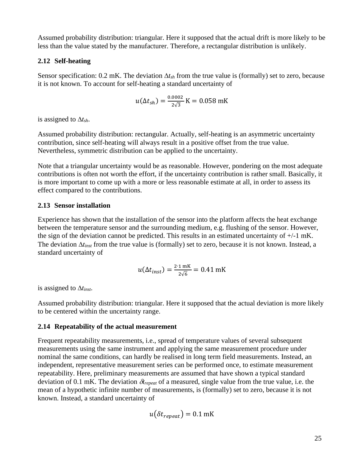Assumed probability distribution: triangular. Here it supposed that the actual drift is more likely to be less than the value stated by the manufacturer. Therefore, a rectangular distribution is unlikely.

#### **2.12 Self-heating**

Sensor specification: 0.2 mK. The deviation *tsh* from the true value is (formally) set to zero, because it is not known. To account for self-heating a standard uncertainty of

$$
u(\Delta t_{sh}) = \frac{0.0002}{2\sqrt{3}} K = 0.058 \text{ mK}
$$

is assigned to  $\Delta t_{sh}$ .

Assumed probability distribution: rectangular. Actually, self-heating is an asymmetric uncertainty contribution, since self-heating will always result in a positive offset from the true value. Nevertheless, symmetric distribution can be applied to the uncertainty.

Note that a triangular uncertainty would be as reasonable. However, pondering on the most adequate contributions is often not worth the effort, if the uncertainty contribution is rather small. Basically, it is more important to come up with a more or less reasonable estimate at all, in order to assess its effect compared to the contributions.

#### **2.13 Sensor installation**

Experience has shown that the installation of the sensor into the platform affects the heat exchange between the temperature sensor and the surrounding medium, e.g. flushing of the sensor. However, the sign of the deviation cannot be predicted. This results in an estimated uncertainty of +/-1 mK. The deviation  $\Delta t_{inst}$  from the true value is (formally) set to zero, because it is not known. Instead, a standard uncertainty of

$$
u(\Delta t_{inst}) = \frac{2.1 \text{ mK}}{2\sqrt{6}} = 0.41 \text{ mK}
$$

is assigned to  $\Delta t_{inst}$ .

Assumed probability distribution: triangular. Here it supposed that the actual deviation is more likely to be centered within the uncertainty range.

#### **2.14 Repeatability of the actual measurement**

Frequent repeatability measurements, i.e., spread of temperature values of several subsequent measurements using the same instrument and applying the same measurement procedure under nominal the same conditions, can hardly be realised in long term field measurements. Instead, an independent, representative measurement series can be performed once, to estimate measurement repeatability. Here, preliminary measurements are assumed that have shown a typical standard deviation of 0.1 mK. The deviation  $\delta t_{repeat}$  of a measured, single value from the true value, i.e. the mean of a hypothetic infinite number of measurements, is (formally) set to zero, because it is not known. Instead, a standard uncertainty of

$$
u(\delta t_{repeat}) = 0.1 \text{ mK}
$$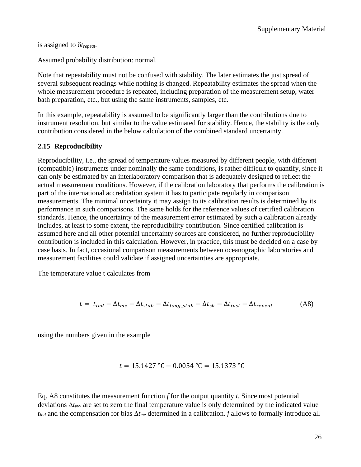is assigned to *trepeat*.

Assumed probability distribution: normal.

Note that repeatability must not be confused with stability. The later estimates the just spread of several subsequent readings while nothing is changed. Repeatability estimates the spread when the whole measurement procedure is repeated, including preparation of the measurement setup, water bath preparation, etc., but using the same instruments, samples, etc.

In this example, repeatability is assumed to be significantly larger than the contributions due to instrument resolution, but similar to the value estimated for stability. Hence, the stability is the only contribution considered in the below calculation of the combined standard uncertainty.

### **2.15 Reproducibility**

Reproducibility, i.e., the spread of temperature values measured by different people, with different (compatible) instruments under nominally the same conditions, is rather difficult to quantify, since it can only be estimated by an interlaboratory comparison that is adequately designed to reflect the actual measurement conditions. However, if the calibration laboratory that performs the calibration is part of the international accreditation system it has to participate regularly in comparison measurements. The minimal uncertainty it may assign to its calibration results is determined by its performance in such comparisons. The same holds for the reference values of certified calibration standards. Hence, the uncertainty of the measurement error estimated by such a calibration already includes, at least to some extent, the reproducibility contribution. Since certified calibration is assumed here and all other potential uncertainty sources are considered, no further reproducibility contribution is included in this calculation. However, in practice, this must be decided on a case by case basis. In fact, occasional comparison measurements between oceanographic laboratories and measurement facilities could validate if assigned uncertainties are appropriate.

The temperature value t calculates from

$$
t = t_{ind} - \Delta t_{me} - \Delta t_{stab} - \Delta t_{long\_stab} - \Delta t_{sh} - \Delta t_{inst} - \Delta t_{repeat}
$$
 (A8)

using the numbers given in the example

$$
t = 15.1427 \text{ °C} - 0.0054 \text{ °C} = 15.1373 \text{ °C}
$$

Eq. A8 constitutes the measurement function *f* for the output quantity *t*. Since most potential deviations  $\Delta t_{\rm vvv}$  are set to zero the final temperature value is only determined by the indicated value  $t_{ind}$  and the compensation for bias  $\Delta t_{me}$  determined in a calibration. *f* allows to formally introduce all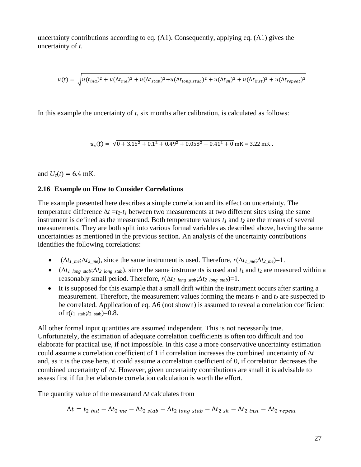uncertainty contributions according to eq. (A1). Consequently, applying eq. (A1) gives the uncertainty of *t*.

$$
u(t) = \sqrt{u(t_{ind})^2 + u(\Delta t_{me})^2 + u(\Delta t_{stab})^2 + u(\Delta t_{long\_stab})^2 + u(\Delta t_{sh})^2 + u(\Delta t_{inst})^2 + u(\Delta t_{repeat})^2}
$$

In this example the uncertainty of *t*, six months after calibration, is calculated as follows:

 $u_c(t) = \sqrt{0 + 3.15^2 + 0.1^2 + 0.49^2 + 0.058^2 + 0.41^2 + 0}$  mK = 3.22 mK.

and  $U_c(t) = 6.4$  mK.

#### **2.16 Example on How to Consider Correlations**

The example presented here describes a simple correlation and its effect on uncertainty. The temperature difference  $\Delta t = t_2 - t_1$  between two measurements at two different sites using the same instrument is defined as the measurand. Both temperature values *t<sup>1</sup>* and *t<sup>2</sup>* are the means of several measurements. They are both split into various formal variables as described above, having the same uncertainties as mentioned in the previous section. An analysis of the uncertainty contributions identifies the following correlations:

- $(\Delta t_1_m, \Delta t_2_m)$ , since the same instrument is used. Therefore,  $r(\Delta t_1_m, \Delta t_2_m) = 1$ .
- ( $\Delta t_{1\_long\_stab}$ ;  $\Delta t_{2\_long\_stab}$ ), since the same instruments is used and  $t_1$  and  $t_2$  are measured within a reasonably small period. Therefore,  $r(\Delta t_1_{long\_stab}; \Delta t_2_{long\_stab}) = 1$ .
- It is supposed for this example that a small drift within the instrument occurs after starting a measurement. Therefore, the measurement values forming the means  $t_1$  and  $t_2$  are suspected to be correlated. Application of eq. A6 (not shown) is assumed to reveal a correlation coefficient of  $r(t_1 \text{ stab}; t_2 \text{ stab}) = 0.8$ .

All other formal input quantities are assumed independent. This is not necessarily true. Unfortunately, the estimation of adequate correlation coefficients is often too difficult and too elaborate for practical use, if not impossible. In this case a more conservative uncertainty estimation could assume a correlation coefficient of 1 if correlation increases the combined uncertainty of  $\Delta t$ and, as it is the case here, it could assume a correlation coefficient of 0, if correlation decreases the combined uncertainty of  $\Delta t$ . However, given uncertainty contributions are small it is advisable to assess first if further elaborate correlation calculation is worth the effort.

The quantity value of the measurand  $\Delta t$  calculates from

$$
\Delta t = t_{2\_ind} - \Delta t_{2\_me} - \Delta t_{2\_stab} - \Delta t_{2\_long\_stab} - \Delta t_{2\_sh} - \Delta t_{2\_inst} - \Delta t_{2\_repeat}
$$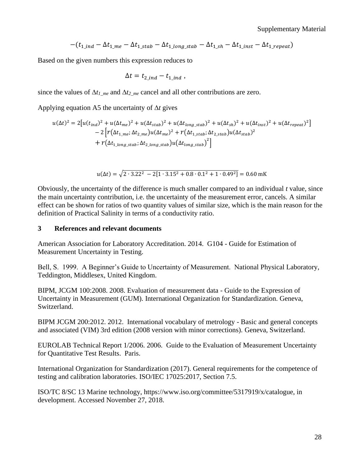$$
-(t_{1\_ind} - \Delta t_{1\_me} - \Delta t_{1\_stab} - \Delta t_{1\_long\_stab} - \Delta t_{1\_sh} - \Delta t_{1\_inst} - \Delta t_{1\_repeat})
$$

Based on the given numbers this expression reduces to

$$
\Delta t = t_{2\_ind} - t_{1\_ind} ,
$$

since the values of  $\Delta t_{1me}$  and  $\Delta t_{2me}$  cancel and all other contributions are zero.

Applying equation A5 the uncertainty of  $\Delta t$  gives

$$
u(\Delta t)^{2} = 2[u(t_{ind})^{2} + u(\Delta t_{me})^{2} + u(\Delta t_{stab})^{2} + u(\Delta t_{long\_stab})^{2} + u(\Delta t_{sh})^{2} + u(\Delta t_{inst})^{2} + u(\Delta t_{repeat})^{2}]
$$
  
- 2 [r( $\Delta t_{1-me}$ ;  $\Delta t_{2-me}$ )u( $\Delta t_{me}$ )<sup>2</sup> + r( $\Delta t_{1stab}$ ;  $\Delta t_{2stab}$ )u( $\Delta t_{stab}$ )<sup>2</sup>  
+ r( $\Delta t_{1long\_stab}$ ;  $\Delta t_{2long\_stab}$ )u( $\Delta t_{long\_stab}$ )<sup>2</sup>]

$$
u(\Delta t) = \sqrt{2 \cdot 3.22^2 - 2[1 \cdot 3.15^2 + 0.8 \cdot 0.1^2 + 1 \cdot 0.49^2]} = 0.60 \text{ mK}
$$

Obviously, the uncertainty of the difference is much smaller compared to an individual *t* value, since the main uncertainty contribution, i.e. the uncertainty of the measurement error, cancels. A similar effect can be shown for ratios of two quantity values of similar size, which is the main reason for the definition of Practical Salinity in terms of a conductivity ratio.

#### **3 References and relevant documents**

American Association for Laboratory Accreditation. 2014. G104 - Guide for Estimation of Measurement Uncertainty in Testing.

Bell, S. 1999. A Beginner's Guide to Uncertainty of Measurement. National Physical Laboratory, Teddington, Middlesex, United Kingdom.

BIPM, JCGM 100:2008. 2008. Evaluation of measurement data - Guide to the Expression of Uncertainty in Measurement (GUM). International Organization for Standardization. Geneva, Switzerland.

BIPM JCGM 200:2012. 2012. International vocabulary of metrology - Basic and general concepts and associated (VIM) 3rd edition (2008 version with minor corrections). Geneva, Switzerland.

EUROLAB Technical Report 1/2006. 2006. Guide to the Evaluation of Measurement Uncertainty for Quantitative Test Results. Paris.

International Organization for Standardization (2017). General requirements for the competence of testing and calibration laboratories. ISO/IEC 17025:2017, Section 7.5.

ISO/TC 8/SC 13 Marine technology, https://www.iso.org/committee/5317919/x/catalogue, in development. Accessed November 27, 2018.